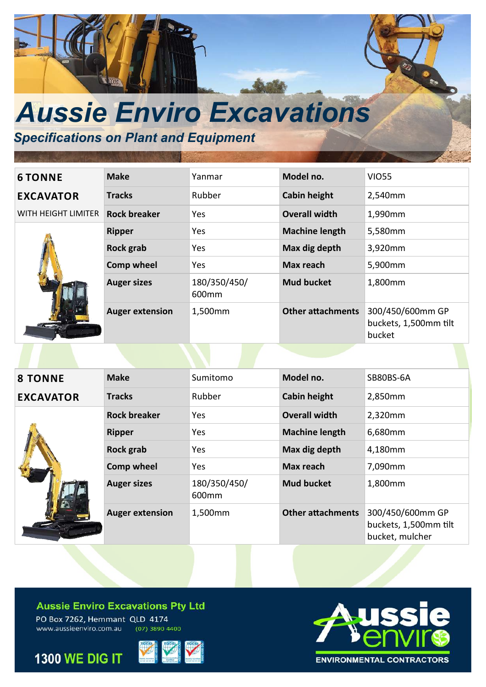

# *Specifications on Plant and Equipment*

# **EXCAVATOR**



| <b>6 TONNE</b>      | <b>Make</b>            | Yanmar                | Model no.                | <b>VIO55</b>                                        |
|---------------------|------------------------|-----------------------|--------------------------|-----------------------------------------------------|
| <b>EXCAVATOR</b>    | <b>Tracks</b>          | Rubber                | <b>Cabin height</b>      | 2,540mm                                             |
| WITH HEIGHT LIMITER | <b>Rock breaker</b>    | <b>Yes</b>            | <b>Overall width</b>     | 1,990mm                                             |
|                     | <b>Ripper</b>          | Yes                   | <b>Machine length</b>    | 5,580mm                                             |
|                     | Rock grab              | Yes                   | Max dig depth            | 3,920mm                                             |
|                     | <b>Comp wheel</b>      | Yes                   | Max reach                | 5,900mm                                             |
|                     | <b>Auger sizes</b>     | 180/350/450/<br>600mm | <b>Mud bucket</b>        | 1,800mm                                             |
|                     | <b>Auger extension</b> | 1,500mm               | <b>Other attachments</b> | 300/450/600mm GP<br>buckets, 1,500mm tilt<br>bucket |

| <b>8 TONNE</b>   | <b>Make</b>            | Sumitomo              | Model no.                | SB80BS-6A                                                    |
|------------------|------------------------|-----------------------|--------------------------|--------------------------------------------------------------|
| <b>EXCAVATOR</b> | <b>Tracks</b>          | Rubber                | <b>Cabin height</b>      | 2,850mm                                                      |
|                  | <b>Rock breaker</b>    | Yes                   | <b>Overall width</b>     | 2,320mm                                                      |
|                  | <b>Ripper</b>          | Yes                   | <b>Machine length</b>    | 6,680mm                                                      |
|                  | Rock grab              | Yes                   | Max dig depth            | 4,180mm                                                      |
|                  | <b>Comp wheel</b>      | Yes                   | Max reach                | 7,090mm                                                      |
|                  | <b>Auger sizes</b>     | 180/350/450/<br>600mm | <b>Mud bucket</b>        | 1,800mm                                                      |
|                  | <b>Auger extension</b> | 1,500mm               | <b>Other attachments</b> | 300/450/600mm GP<br>buckets, 1,500mm tilt<br>bucket, mulcher |

### **Aussie Enviro Excavations Pty Ltd**

PO Box 7262, Hemmant QLD 4174 www.aussieenviro.com.au  $(07)$  3890 4400





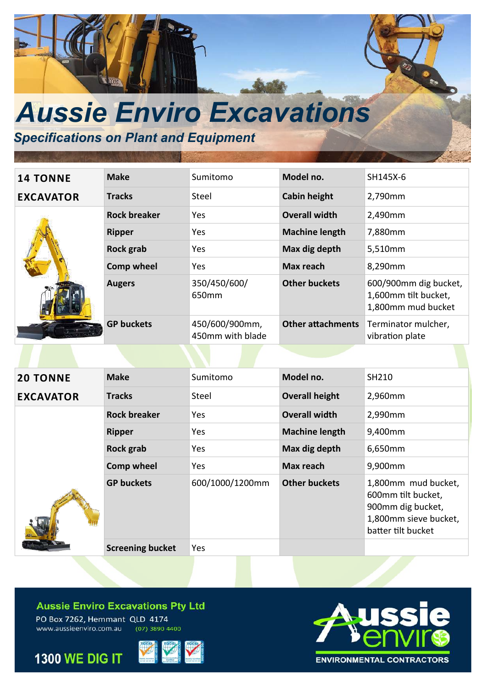

## *Specifications on Plant and Equipment*

| <b>14 TONNE</b>  | <b>Make</b>         | Sumitomo                           | Model no.                | SH145X-6                                                            |
|------------------|---------------------|------------------------------------|--------------------------|---------------------------------------------------------------------|
| <b>EXCAVATOR</b> | <b>Tracks</b>       | Steel                              | <b>Cabin height</b>      | 2,790mm                                                             |
|                  | <b>Rock breaker</b> | Yes.                               | <b>Overall width</b>     | 2,490mm                                                             |
|                  | <b>Ripper</b>       | Yes                                | <b>Machine length</b>    | 7,880mm                                                             |
|                  | Rock grab           | Yes                                | Max dig depth            | 5,510mm                                                             |
|                  | <b>Comp wheel</b>   | Yes.                               | Max reach                | 8,290mm                                                             |
|                  | <b>Augers</b>       | 350/450/600/<br>650 <sub>mm</sub>  | <b>Other buckets</b>     | 600/900mm dig bucket,<br>1,600mm tilt bucket,<br>1,800mm mud bucket |
|                  | <b>GP buckets</b>   | 450/600/900mm,<br>450mm with blade | <b>Other attachments</b> | Terminator mulcher,<br>vibration plate                              |

| <b>20 TONNE</b>  | <b>Make</b>             | Sumitomo        | Model no.             | SH210                                                                                                         |
|------------------|-------------------------|-----------------|-----------------------|---------------------------------------------------------------------------------------------------------------|
| <b>EXCAVATOR</b> | <b>Tracks</b>           | Steel           | <b>Overall height</b> | 2,960mm                                                                                                       |
|                  | <b>Rock breaker</b>     | Yes             | <b>Overall width</b>  | 2,990mm                                                                                                       |
|                  | <b>Ripper</b>           | Yes             | <b>Machine length</b> | 9,400mm                                                                                                       |
|                  | <b>Rock grab</b>        | Yes             | Max dig depth         | 6,650mm                                                                                                       |
|                  | Comp wheel              | Yes             | Max reach             | 9,900mm                                                                                                       |
|                  | <b>GP buckets</b>       | 600/1000/1200mm | <b>Other buckets</b>  | 1,800mm mud bucket,<br>600mm tilt bucket,<br>900mm dig bucket,<br>1,800mm sieve bucket,<br>batter tilt bucket |
|                  | <b>Screening bucket</b> | Yes             |                       |                                                                                                               |

#### **Aussie Enviro Excavations Pty Ltd**

PO Box 7262, Hemmant QLD 4174 www.aussieenviro.com.au  $(07)$  3890 4400



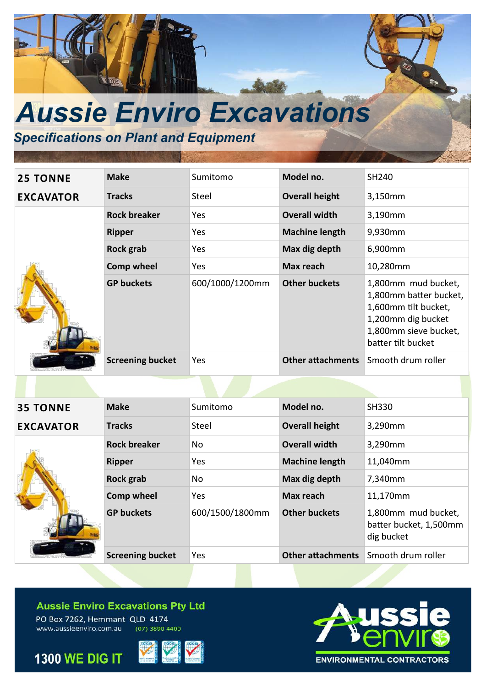

## *Specifications on Plant and Equipment*

| <b>25 TONNE</b>  | <b>Make</b>             | Sumitomo        | Model no.                | SH240                                                                                                                                      |
|------------------|-------------------------|-----------------|--------------------------|--------------------------------------------------------------------------------------------------------------------------------------------|
| <b>EXCAVATOR</b> | <b>Tracks</b>           | Steel           | <b>Overall height</b>    | 3,150mm                                                                                                                                    |
|                  | <b>Rock breaker</b>     | <b>Yes</b>      | <b>Overall width</b>     | 3,190mm                                                                                                                                    |
|                  | <b>Ripper</b>           | <b>Yes</b>      | <b>Machine length</b>    | 9,930mm                                                                                                                                    |
|                  | <b>Rock grab</b>        | <b>Yes</b>      | Max dig depth            | 6,900mm                                                                                                                                    |
|                  | <b>Comp wheel</b>       | <b>Yes</b>      | Max reach                | 10,280mm                                                                                                                                   |
|                  | <b>GP buckets</b>       | 600/1000/1200mm | <b>Other buckets</b>     | 1,800mm mud bucket,<br>1,800mm batter bucket,<br>1,600mm tilt bucket,<br>1,200mm dig bucket<br>1,800mm sieve bucket,<br>batter tilt bucket |
|                  | <b>Screening bucket</b> | Yes             | <b>Other attachments</b> | Smooth drum roller                                                                                                                         |

| <b>35 TONNE</b>  | <b>Make</b>             | Sumitomo        | Model no.                | SH330                                                       |
|------------------|-------------------------|-----------------|--------------------------|-------------------------------------------------------------|
| <b>EXCAVATOR</b> | <b>Tracks</b>           | Steel           | <b>Overall height</b>    | 3,290mm                                                     |
|                  | <b>Rock breaker</b>     | No              | <b>Overall width</b>     | 3,290mm                                                     |
|                  | <b>Ripper</b>           | Yes             | <b>Machine length</b>    | 11,040mm                                                    |
|                  | Rock grab               | No              | Max dig depth            | 7,340mm                                                     |
|                  | <b>Comp wheel</b>       | Yes             | Max reach                | 11,170mm                                                    |
|                  | <b>GP buckets</b>       | 600/1500/1800mm | <b>Other buckets</b>     | 1,800mm mud bucket,<br>batter bucket, 1,500mm<br>dig bucket |
|                  | <b>Screening bucket</b> | Yes             | <b>Other attachments</b> | Smooth drum roller                                          |
|                  |                         |                 |                          |                                                             |

#### **Aussie Enviro Excavations Pty Ltd**

PO Box 7262, Hemmant QLD 4174 www.aussieenviro.com.au  $(07)$  3890 4400

**1300 WE DIG IT**